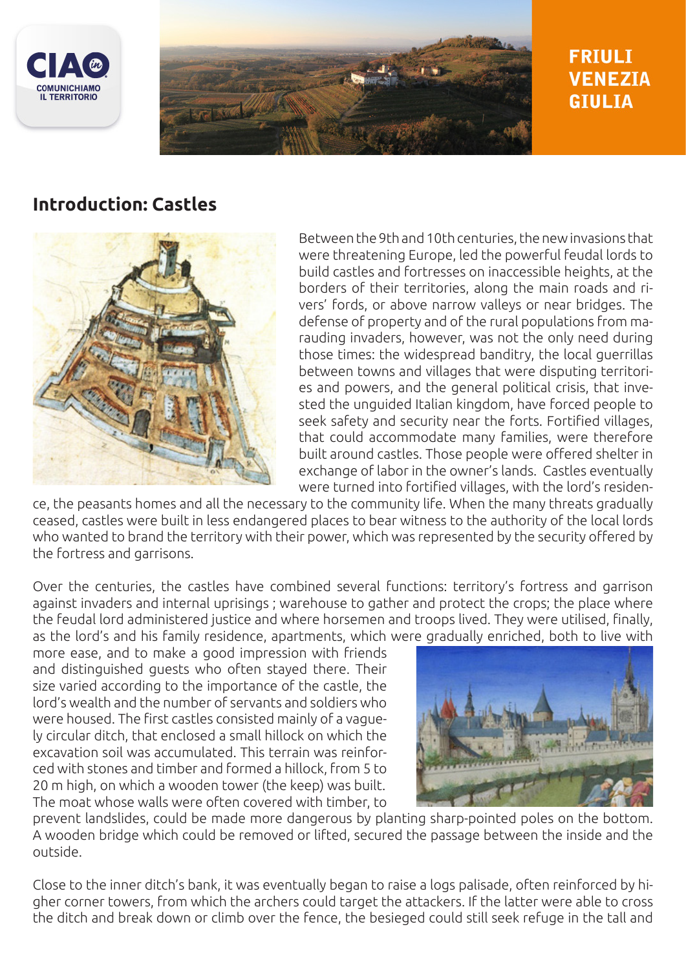



# **FRIULI VENEZIA GIULIA**

## **Introduction: Castles**



Between the 9th and 10th centuries, the new invasions that were threatening Europe, led the powerful feudal lords to build castles and fortresses on inaccessible heights, at the borders of their territories, along the main roads and rivers' fords, or above narrow valleys or near bridges. The defense of property and of the rural populations from marauding invaders, however, was not the only need during those times: the widespread banditry, the local guerrillas between towns and villages that were disputing territories and powers, and the general political crisis, that invested the unguided Italian kingdom, have forced people to seek safety and security near the forts. Fortified villages, that could accommodate many families, were therefore built around castles. Those people were offered shelter in exchange of labor in the owner's lands. Castles eventually were turned into fortified villages, with the lord's residen-

ce, the peasants homes and all the necessary to the community life. When the many threats gradually ceased, castles were built in less endangered places to bear witness to the authority of the local lords who wanted to brand the territory with their power, which was represented by the security offered by the fortress and garrisons.

Over the centuries, the castles have combined several functions: territory's fortress and garrison against invaders and internal uprisings ; warehouse to gather and protect the crops; the place where the feudal lord administered justice and where horsemen and troops lived. They were utilised, finally, as the lord's and his family residence, apartments, which were gradually enriched, both to live with

more ease, and to make a good impression with friends and distinguished guests who often stayed there. Their size varied according to the importance of the castle, the lord's wealth and the number of servants and soldiers who were housed. The first castles consisted mainly of a vaguely circular ditch, that enclosed a small hillock on which the excavation soil was accumulated. This terrain was reinforced with stones and timber and formed a hillock, from 5 to 20 m high, on which a wooden tower (the keep) was built. The moat whose walls were often covered with timber, to



prevent landslides, could be made more dangerous by planting sharp-pointed poles on the bottom. A wooden bridge which could be removed or lifted, secured the passage between the inside and the outside.

Close to the inner ditch's bank, it was eventually began to raise a logs palisade, often reinforced by higher corner towers, from which the archers could target the attackers. If the latter were able to cross the ditch and break down or climb over the fence, the besieged could still seek refuge in the tall and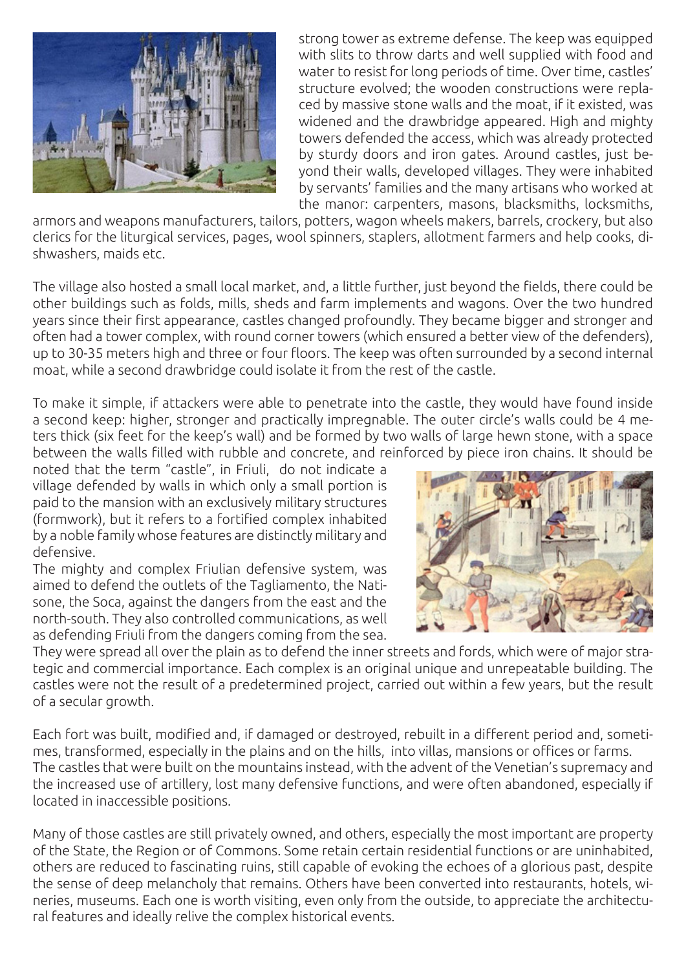

strong tower as extreme defense. The keep was equipped with slits to throw darts and well supplied with food and water to resist for long periods of time. Over time, castles' structure evolved; the wooden constructions were replaced by massive stone walls and the moat, if it existed, was widened and the drawbridge appeared. High and mighty towers defended the access, which was already protected by sturdy doors and iron gates. Around castles, just beyond their walls, developed villages. They were inhabited by servants' families and the many artisans who worked at the manor: carpenters, masons, blacksmiths, locksmiths,

armors and weapons manufacturers, tailors, potters, wagon wheels makers, barrels, crockery, but also clerics for the liturgical services, pages, wool spinners, staplers, allotment farmers and help cooks, dishwashers, maids etc.

The village also hosted a small local market, and, a little further, just beyond the fields, there could be other buildings such as folds, mills, sheds and farm implements and wagons. Over the two hundred years since their first appearance, castles changed profoundly. They became bigger and stronger and often had a tower complex, with round corner towers (which ensured a better view of the defenders), up to 30-35 meters high and three or four floors. The keep was often surrounded by a second internal moat, while a second drawbridge could isolate it from the rest of the castle.

To make it simple, if attackers were able to penetrate into the castle, they would have found inside a second keep: higher, stronger and practically impregnable. The outer circle's walls could be 4 meters thick (six feet for the keep's wall) and be formed by two walls of large hewn stone, with a space between the walls filled with rubble and concrete, and reinforced by piece iron chains. It should be

noted that the term "castle", in Friuli, do not indicate a village defended by walls in which only a small portion is paid to the mansion with an exclusively military structures (formwork), but it refers to a fortified complex inhabited by a noble family whose features are distinctly military and defensive.

The mighty and complex Friulian defensive system, was aimed to defend the outlets of the Tagliamento, the Natisone, the Soca, against the dangers from the east and the north-south. They also controlled communications, as well as defending Friuli from the dangers coming from the sea.



They were spread all over the plain as to defend the inner streets and fords, which were of major strategic and commercial importance. Each complex is an original unique and unrepeatable building. The castles were not the result of a predetermined project, carried out within a few years, but the result of a secular growth.

Each fort was built, modified and, if damaged or destroyed, rebuilt in a different period and, sometimes, transformed, especially in the plains and on the hills, into villas, mansions or offices or farms. The castles that were built on the mountains instead, with the advent of the Venetian's supremacy and the increased use of artillery, lost many defensive functions, and were often abandoned, especially if located in inaccessible positions.

Many of those castles are still privately owned, and others, especially the most important are property of the State, the Region or of Commons. Some retain certain residential functions or are uninhabited, others are reduced to fascinating ruins, still capable of evoking the echoes of a glorious past, despite the sense of deep melancholy that remains. Others have been converted into restaurants, hotels, wineries, museums. Each one is worth visiting, even only from the outside, to appreciate the architectural features and ideally relive the complex historical events.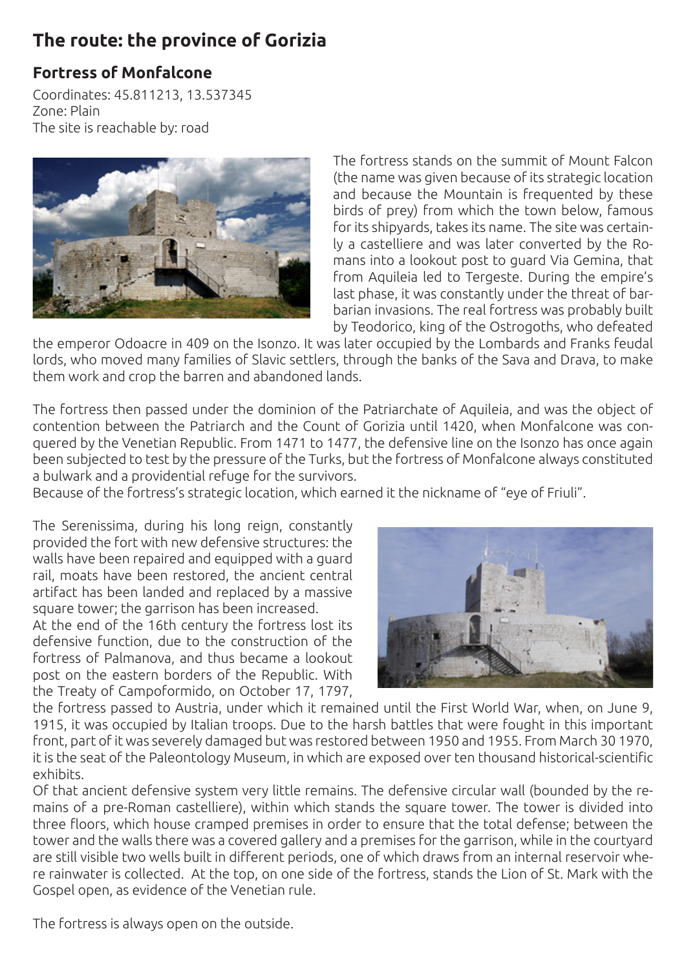# **The route: the province of Gorizia**

### **Fortress of Monfalcone**

Coordinates: 45.811213, 13.537345 Zone: Plain The site is reachable by: road



The fortress stands on the summit of Mount Falcon (the name was given because of its strategic location and because the Mountain is frequented by these birds of prey) from which the town below, famous for its shipyards, takes its name. The site was certainly a castelliere and was later converted by the Romans into a lookout post to guard Via Gemina, that from Aquileia led to Tergeste. During the empire's last phase, it was constantly under the threat of barbarian invasions. The real fortress was probably built by Teodorico, king of the Ostrogoths, who defeated

the emperor Odoacre in 409 on the Isonzo. It was later occupied by the Lombards and Franks feudal lords, who moved many families of Slavic settlers, through the banks of the Sava and Drava, to make them work and crop the barren and abandoned lands.

The fortress then passed under the dominion of the Patriarchate of Aquileia, and was the object of contention between the Patriarch and the Count of Gorizia until 1420, when Monfalcone was conquered by the Venetian Republic. From 1471 to 1477, the defensive line on the Isonzo has once again been subjected to test by the pressure of the Turks, but the fortress of Monfalcone always constituted a bulwark and a providential refuge for the survivors.

Because of the fortress's strategic location, which earned it the nickname of "eye of Friuli".

The Serenissima, during his long reign, constantly provided the fort with new defensive structures: the walls have been repaired and equipped with a guard rail, moats have been restored, the ancient central artifact has been landed and replaced by a massive square tower; the garrison has been increased.

At the end of the 16th century the fortress lost its defensive function, due to the construction of the fortress of Palmanova, and thus became a lookout post on the eastern borders of the Republic. With the Treaty of Campoformido, on October 17, 1797,



the fortress passed to Austria, under which it remained until the First World War, when, on June 9, 1915, it was occupied by Italian troops. Due to the harsh battles that were fought in this important front, part of it was severely damaged but was restored between 1950 and 1955. From March 30 1970, it is the seat of the Paleontology Museum, in which are exposed over ten thousand historical-scientific exhibits.

Of that ancient defensive system very little remains. The defensive circular wall (bounded by the remains of a pre-Roman castelliere), within which stands the square tower. The tower is divided into three floors, which house cramped premises in order to ensure that the total defense; between the tower and the walls there was a covered gallery and a premises for the garrison, while in the courtyard are still visible two wells built in different periods, one of which draws from an internal reservoir where rainwater is collected. At the top, on one side of the fortress, stands the Lion of St. Mark with the Gospel open, as evidence of the Venetian rule.

The fortress is always open on the outside.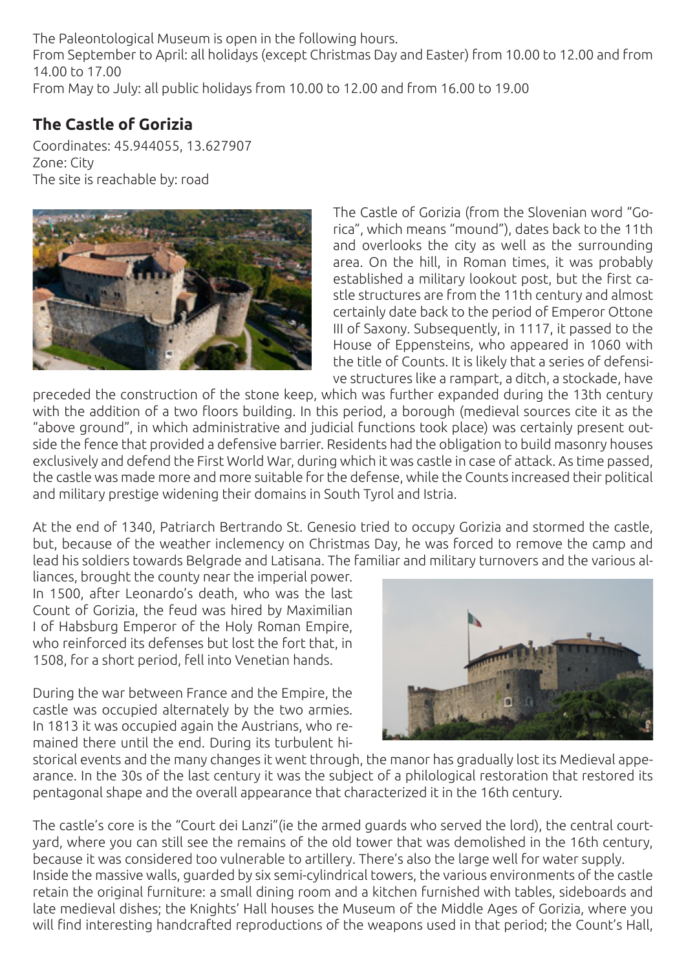The Paleontological Museum is open in the following hours. From September to April: all holidays (except Christmas Day and Easter) from 10.00 to 12.00 and from 14.00 to 17.00 From May to July: all public holidays from 10.00 to 12.00 and from 16.00 to 19.00

### **The Castle of Gorizia**

Coordinates: 45.944055, 13.627907 Zone: City The site is reachable by: road



The Castle of Gorizia (from the Slovenian word "Gorica", which means "mound"), dates back to the 11th and overlooks the city as well as the surrounding area. On the hill, in Roman times, it was probably established a military lookout post, but the first castle structures are from the 11th century and almost certainly date back to the period of Emperor Ottone III of Saxony. Subsequently, in 1117, it passed to the House of Eppensteins, who appeared in 1060 with the title of Counts. It is likely that a series of defensive structures like a rampart, a ditch, a stockade, have

preceded the construction of the stone keep, which was further expanded during the 13th century with the addition of a two floors building. In this period, a borough (medieval sources cite it as the "above ground", in which administrative and judicial functions took place) was certainly present outside the fence that provided a defensive barrier. Residents had the obligation to build masonry houses exclusively and defend the First World War, during which it was castle in case of attack. As time passed, the castle was made more and more suitable for the defense, while the Counts increased their political and military prestige widening their domains in South Tyrol and Istria.

At the end of 1340, Patriarch Bertrando St. Genesio tried to occupy Gorizia and stormed the castle, but, because of the weather inclemency on Christmas Day, he was forced to remove the camp and lead his soldiers towards Belgrade and Latisana. The familiar and military turnovers and the various al-

liances, brought the county near the imperial power. In 1500, after Leonardo's death, who was the last Count of Gorizia, the feud was hired by Maximilian I of Habsburg Emperor of the Holy Roman Empire, who reinforced its defenses but lost the fort that, in 1508, for a short period, fell into Venetian hands.

During the war between France and the Empire, the castle was occupied alternately by the two armies. In 1813 it was occupied again the Austrians, who remained there until the end. During its turbulent hi-



storical events and the many changes it went through, the manor has gradually lost its Medieval appearance. In the 30s of the last century it was the subject of a philological restoration that restored its pentagonal shape and the overall appearance that characterized it in the 16th century.

The castle's core is the "Court dei Lanzi"(ie the armed guards who served the lord), the central courtyard, where you can still see the remains of the old tower that was demolished in the 16th century, because it was considered too vulnerable to artillery. There's also the large well for water supply. Inside the massive walls, guarded by six semi-cylindrical towers, the various environments of the castle retain the original furniture: a small dining room and a kitchen furnished with tables, sideboards and late medieval dishes; the Knights' Hall houses the Museum of the Middle Ages of Gorizia, where you will find interesting handcrafted reproductions of the weapons used in that period; the Count's Hall,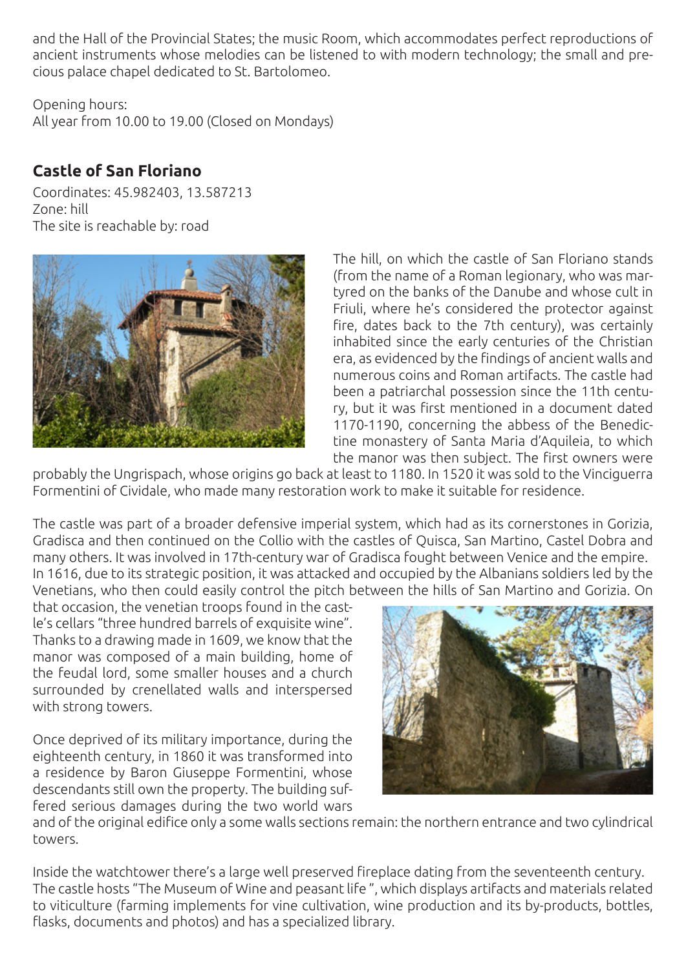and the Hall of the Provincial States; the music Room, which accommodates perfect reproductions of ancient instruments whose melodies can be listened to with modern technology; the small and precious palace chapel dedicated to St. Bartolomeo.

Opening hours:

All year from 10.00 to 19.00 (Closed on Mondays)

#### **Castle of San Floriano**

Coordinates: 45.982403, 13.587213 Zone: hill The site is reachable by: road



The hill, on which the castle of San Floriano stands (from the name of a Roman legionary, who was martyred on the banks of the Danube and whose cult in Friuli, where he's considered the protector against fire, dates back to the 7th century), was certainly inhabited since the early centuries of the Christian era, as evidenced by the findings of ancient walls and numerous coins and Roman artifacts. The castle had been a patriarchal possession since the 11th century, but it was first mentioned in a document dated 1170-1190, concerning the abbess of the Benedictine monastery of Santa Maria d'Aquileia, to which the manor was then subject. The first owners were

probably the Ungrispach, whose origins go back at least to 1180. In 1520 it was sold to the Vinciguerra Formentini of Cividale, who made many restoration work to make it suitable for residence.

The castle was part of a broader defensive imperial system, which had as its cornerstones in Gorizia, Gradisca and then continued on the Collio with the castles of Quisca, San Martino, Castel Dobra and many others. It was involved in 17th-century war of Gradisca fought between Venice and the empire. In 1616, due to its strategic position, it was attacked and occupied by the Albanians soldiers led by the Venetians, who then could easily control the pitch between the hills of San Martino and Gorizia. On

that occasion, the venetian troops found in the castle's cellars "three hundred barrels of exquisite wine". Thanks to a drawing made in 1609, we know that the manor was composed of a main building, home of the feudal lord, some smaller houses and a church surrounded by crenellated walls and interspersed with strong towers.

Once deprived of its military importance, during the eighteenth century, in 1860 it was transformed into a residence by Baron Giuseppe Formentini, whose descendants still own the property. The building suffered serious damages during the two world wars



and of the original edifice only a some walls sections remain: the northern entrance and two cylindrical towers.

Inside the watchtower there's a large well preserved fireplace dating from the seventeenth century. The castle hosts "The Museum of Wine and peasant life ", which displays artifacts and materials related to viticulture (farming implements for vine cultivation, wine production and its by-products, bottles, flasks, documents and photos) and has a specialized library.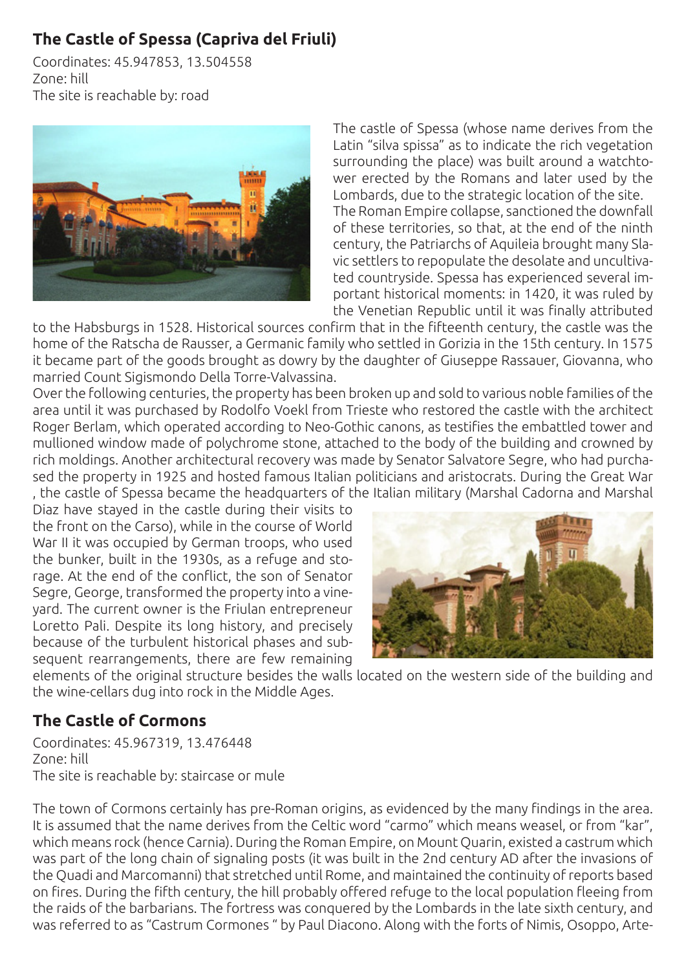## **The Castle of Spessa (Capriva del Friuli)**

Coordinates: 45.947853, 13.504558 Zone: hill The site is reachable by: road



The castle of Spessa (whose name derives from the Latin "silva spissa" as to indicate the rich vegetation surrounding the place) was built around a watchtower erected by the Romans and later used by the Lombards, due to the strategic location of the site. The Roman Empire collapse, sanctioned the downfall of these territories, so that, at the end of the ninth century, the Patriarchs of Aquileia brought many Slavic settlers to repopulate the desolate and uncultivated countryside. Spessa has experienced several important historical moments: in 1420, it was ruled by the Venetian Republic until it was finally attributed

to the Habsburgs in 1528. Historical sources confirm that in the fifteenth century, the castle was the home of the Ratscha de Rausser, a Germanic family who settled in Gorizia in the 15th century. In 1575 it became part of the goods brought as dowry by the daughter of Giuseppe Rassauer, Giovanna, who married Count Sigismondo Della Torre-Valvassina.

Over the following centuries, the property has been broken up and sold to various noble families of the area until it was purchased by Rodolfo Voekl from Trieste who restored the castle with the architect Roger Berlam, which operated according to Neo-Gothic canons, as testifies the embattled tower and mullioned window made of polychrome stone, attached to the body of the building and crowned by rich moldings. Another architectural recovery was made by Senator Salvatore Segre, who had purchased the property in 1925 and hosted famous Italian politicians and aristocrats. During the Great War , the castle of Spessa became the headquarters of the Italian military (Marshal Cadorna and Marshal

Diaz have stayed in the castle during their visits to the front on the Carso), while in the course of World War II it was occupied by German troops, who used the bunker, built in the 1930s, as a refuge and storage. At the end of the conflict, the son of Senator Segre, George, transformed the property into a vineyard. The current owner is the Friulan entrepreneur Loretto Pali. Despite its long history, and precisely because of the turbulent historical phases and subsequent rearrangements, there are few remaining



elements of the original structure besides the walls located on the western side of the building and the wine-cellars dug into rock in the Middle Ages.

### **The Castle of Cormons**

Coordinates: 45.967319, 13.476448 Zone: hill The site is reachable by: staircase or mule

The town of Cormons certainly has pre-Roman origins, as evidenced by the many findings in the area. It is assumed that the name derives from the Celtic word "carmo" which means weasel, or from "kar", which means rock (hence Carnia). During the Roman Empire, on Mount Quarin, existed a castrum which was part of the long chain of signaling posts (it was built in the 2nd century AD after the invasions of the Quadi and Marcomanni) that stretched until Rome, and maintained the continuity of reports based on fires. During the fifth century, the hill probably offered refuge to the local population fleeing from the raids of the barbarians. The fortress was conquered by the Lombards in the late sixth century, and was referred to as "Castrum Cormones " by Paul Diacono. Along with the forts of Nimis, Osoppo, Arte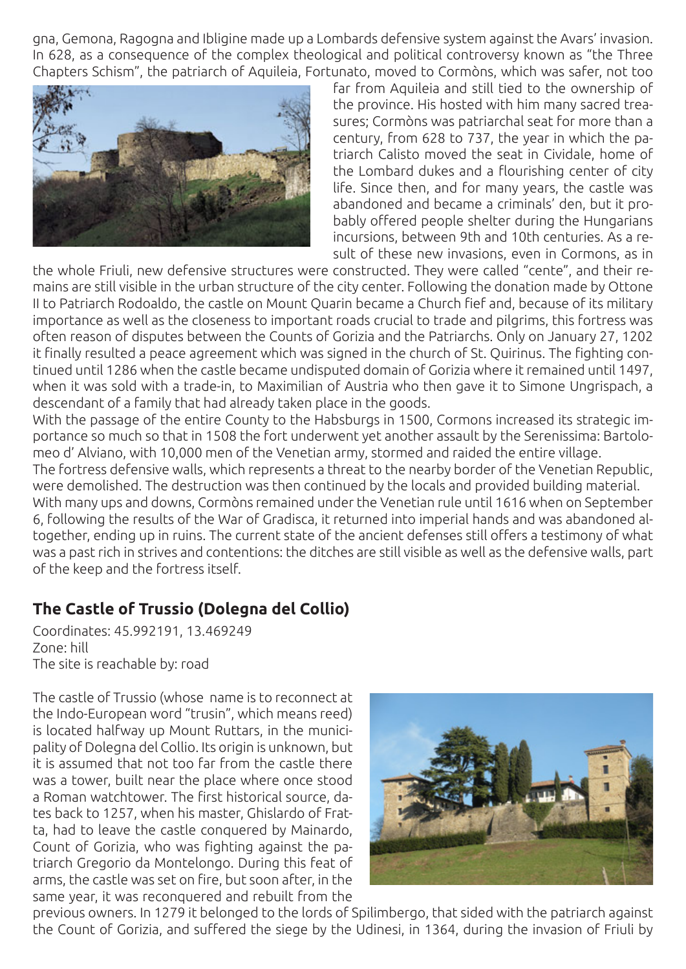gna, Gemona, Ragogna and Ibligine made up a Lombards defensive system against the Avars' invasion. In 628, as a consequence of the complex theological and political controversy known as "the Three Chapters Schism", the patriarch of Aquileia, Fortunato, moved to Cormòns, which was safer, not too



far from Aquileia and still tied to the ownership of the province. His hosted with him many sacred treasures; Cormòns was patriarchal seat for more than a century, from 628 to 737, the year in which the patriarch Calisto moved the seat in Cividale, home of the Lombard dukes and a flourishing center of city life. Since then, and for many years, the castle was abandoned and became a criminals' den, but it probably offered people shelter during the Hungarians incursions, between 9th and 10th centuries. As a result of these new invasions, even in Cormons, as in

the whole Friuli, new defensive structures were constructed. They were called "cente", and their remains are still visible in the urban structure of the city center. Following the donation made by Ottone II to Patriarch Rodoaldo, the castle on Mount Quarin became a Church fief and, because of its military importance as well as the closeness to important roads crucial to trade and pilgrims, this fortress was often reason of disputes between the Counts of Gorizia and the Patriarchs. Only on January 27, 1202 it finally resulted a peace agreement which was signed in the church of St. Quirinus. The fighting continued until 1286 when the castle became undisputed domain of Gorizia where it remained until 1497, when it was sold with a trade-in, to Maximilian of Austria who then gave it to Simone Ungrispach, a descendant of a family that had already taken place in the goods.

With the passage of the entire County to the Habsburgs in 1500, Cormons increased its strategic importance so much so that in 1508 the fort underwent yet another assault by the Serenissima: Bartolomeo d' Alviano, with 10,000 men of the Venetian army, stormed and raided the entire village.

The fortress defensive walls, which represents a threat to the nearby border of the Venetian Republic, were demolished. The destruction was then continued by the locals and provided building material.

With many ups and downs, Cormòns remained under the Venetian rule until 1616 when on September 6, following the results of the War of Gradisca, it returned into imperial hands and was abandoned altogether, ending up in ruins. The current state of the ancient defenses still offers a testimony of what was a past rich in strives and contentions: the ditches are still visible as well as the defensive walls, part of the keep and the fortress itself.

#### **The Castle of Trussio (Dolegna del Collio)**

Coordinates: 45.992191, 13.469249 Zone: hill The site is reachable by: road

The castle of Trussio (whose name is to reconnect at the Indo-European word "trusin", which means reed) is located halfway up Mount Ruttars, in the municipality of Dolegna del Collio. Its origin is unknown, but it is assumed that not too far from the castle there was a tower, built near the place where once stood a Roman watchtower. The first historical source, dates back to 1257, when his master, Ghislardo of Fratta, had to leave the castle conquered by Mainardo, Count of Gorizia, who was fighting against the patriarch Gregorio da Montelongo. During this feat of arms, the castle was set on fire, but soon after, in the same year, it was reconquered and rebuilt from the



previous owners. In 1279 it belonged to the lords of Spilimbergo, that sided with the patriarch against the Count of Gorizia, and suffered the siege by the Udinesi, in 1364, during the invasion of Friuli by